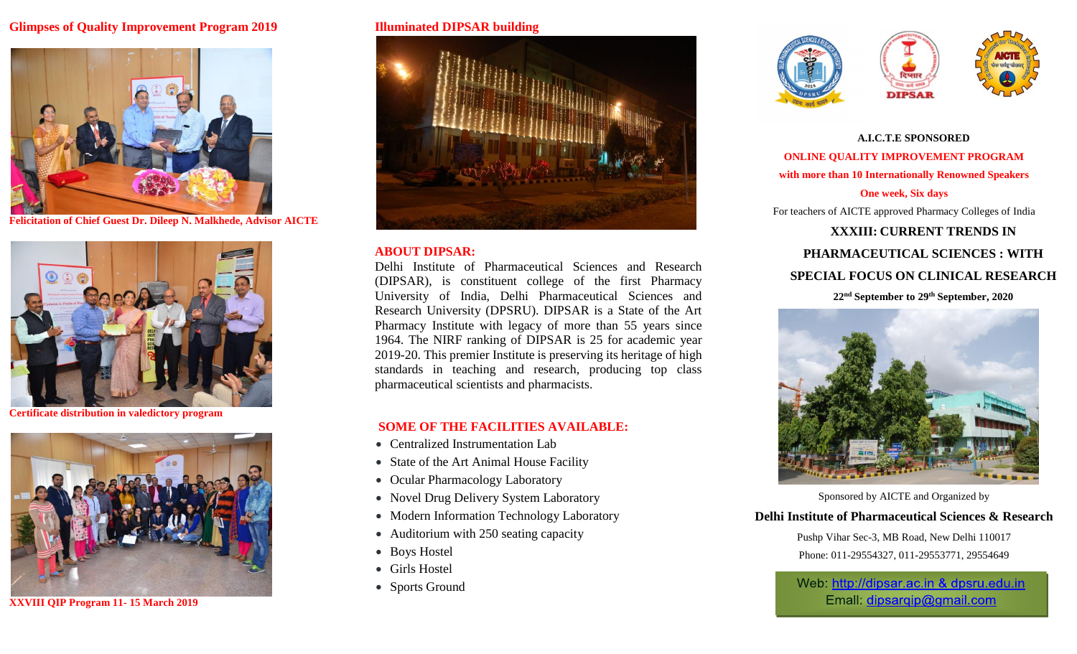## **Glimpses of Quality Improvement Program 2019**



**Felicitation of Chief Guest Dr. Dileep N. Malkhede, Advisor AICTE**



**Certificate distribution in valedictory program**



**XXVIII QIP Program 11- 15 March 2019**

#### **Illuminated DIPSAR building**



### **ABOUT DIPSAR:**

Delhi Institute of Pharmaceutical Sciences and Research (DIPSAR), is constituent college of the first Pharmacy University of India, Delhi Pharmaceutical Sciences and Research University (DPSRU). DIPSAR is a State of the Art Pharmacy Institute with legacy of more than 55 years since 1964. The NIRF ranking of DIPSAR is 25 for academic year 2019-20. This premier Institute is preserving its heritage of high standards in teaching and research, producing top class pharmaceutical scientists and pharmacists.

### **SOME OF THE FACILITIES AVAILABLE:**

- Centralized Instrumentation Lab
- State of the Art Animal House Facility
- Ocular Pharmacology Laboratory
- Novel Drug Delivery System Laboratory
- Modern Information Technology Laboratory
- Auditorium with 250 seating capacity
- Boys Hostel
- Girls Hostel
- Sports Ground







**A.I.C.T.E SPONSORED ONLINE QUALITY IMPROVEMENT PROGRAM with more than 10 Internationally Renowned Speakers One week, Six days** For teachers of AICTE approved Pharmacy Colleges of India **XXXIII: CURRENT TRENDS IN PHARMACEUTICAL SCIENCES : WITH SPECIAL FOCUS ON CLINICAL RESEARCH 22nd September to 29th September, 2020**



Sponsored by AICTE and Organized by

**Delhi Institute of Pharmaceutical Sciences & Research**

Pushp Vihar Sec-3, MB Road, New Delhi 110017 Phone: 011-29554327, 011-29553771, 29554649

Web: http://dipsar.ac.in & dpsru.edu.in Emall: dipsarqip@gmail.com